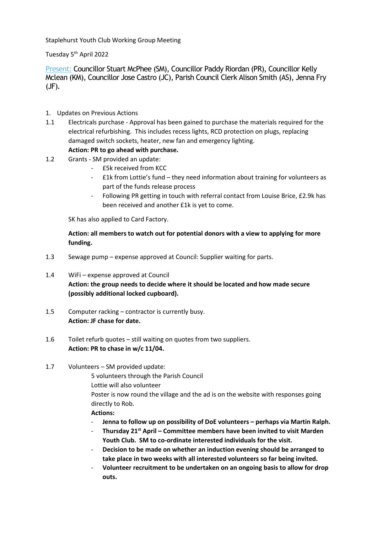Staplehurst Youth Club Working Group Meeting

Tuesday 5th April 2022

Present: Councillor Stuart McPhee (SM), Councillor Paddy Riordan (PR), Councillor Kelly Mclean (KM), Councillor Jose Castro (JC), Parish Council Clerk Alison Smith (AS), Jenna Fry (JF).

- 1. Updates on Previous Actions
- 1.1 Electricals purchase Approval has been gained to purchase the materials required for the electrical refurbishing. This includes recess lights, RCD protection on plugs, replacing damaged switch sockets, heater, new fan and emergency lighting.

# **Action: PR to go ahead with purchase.**

- 1.2 Grants SM provided an update:
	- £5k received from KCC
	- £1k from Lottie's fund they need information about training for volunteers as part of the funds release process
	- Following PR getting in touch with referral contact from Louise Brice, £2.9k has been received and another £1k is yet to come.

SK has also applied to Card Factory.

**Action: all members to watch out for potential donors with a view to applying for more funding.** 

- 1.3 Sewage pump expense approved at Council: Supplier waiting for parts.
- 1.4 WiFi expense approved at Council **Action: the group needs to decide where it should be located and how made secure (possibly additional locked cupboard).**
- 1.5 Computer racking contractor is currently busy. **Action: JF chase for date.**
- 1.6 Toilet refurb quotes still waiting on quotes from two suppliers. **Action: PR to chase in w/c 11/04.**
- 1.7 Volunteers SM provided update:

5 volunteers through the Parish Council

Lottie will also volunteer

Poster is now round the village and the ad is on the website with responses going directly to Rob.

## **Actions:**

- **Jenna to follow up on possibility of DoE volunteers – perhaps via Martin Ralph.**
- **Thursday 21st April – Committee members have been invited to visit Marden Youth Club. SM to co-ordinate interested individuals for the visit.**
- **Decision to be made on whether an induction evening should be arranged to take place in two weeks with all interested volunteers so far being invited.**
- **Volunteer recruitment to be undertaken on an ongoing basis to allow for drop outs.**